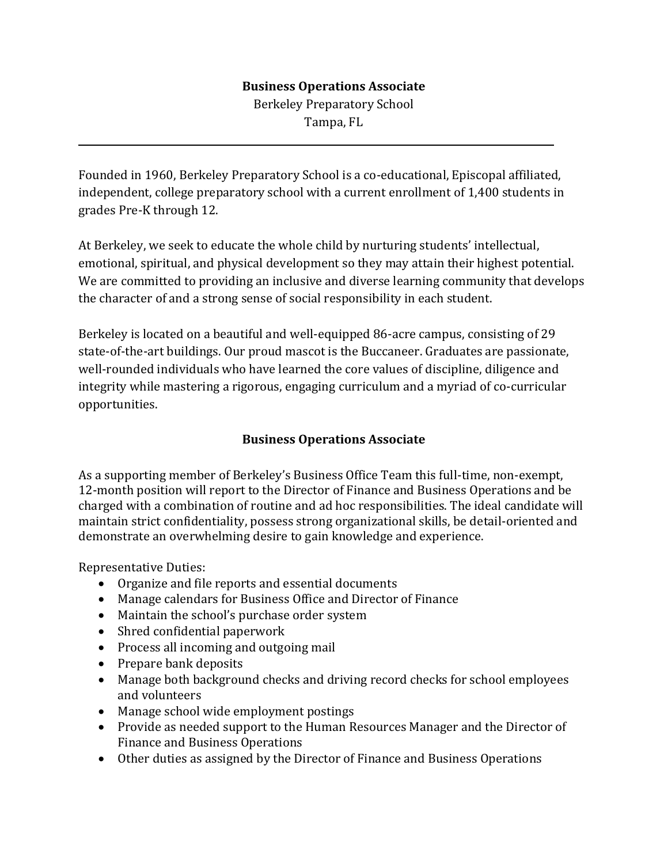## **Business Operations Associate**

Berkeley Preparatory School Tampa, FL

Founded in 1960, Berkeley Preparatory School is a co-educational, Episcopal affiliated, independent, college preparatory school with a current enrollment of 1,400 students in grades Pre-K through 12.

At Berkeley, we seek to educate the whole child by nurturing students' intellectual, emotional, spiritual, and physical development so they may attain their highest potential. We are committed to providing an inclusive and diverse learning community that develops the character of and a strong sense of social responsibility in each student.

Berkeley is located on a beautiful and well-equipped 86-acre campus, consisting of 29 state-of-the-art buildings. Our proud mascot is the Buccaneer. Graduates are passionate, well-rounded individuals who have learned the core values of discipline, diligence and integrity while mastering a rigorous, engaging curriculum and a myriad of co-curricular opportunities.

## **Business Operations Associate**

As a supporting member of Berkeley's Business Office Team this full-time, non-exempt, 12-month position will report to the Director of Finance and Business Operations and be charged with a combination of routine and ad hoc responsibilities. The ideal candidate will maintain strict confidentiality, possess strong organizational skills, be detail-oriented and demonstrate an overwhelming desire to gain knowledge and experience.

Representative Duties:

l

- Organize and file reports and essential documents
- Manage calendars for Business Office and Director of Finance
- Maintain the school's purchase order system
- Shred confidential paperwork
- Process all incoming and outgoing mail
- Prepare bank deposits
- Manage both background checks and driving record checks for school employees and volunteers
- Manage school wide employment postings
- Provide as needed support to the Human Resources Manager and the Director of Finance and Business Operations
- Other duties as assigned by the Director of Finance and Business Operations